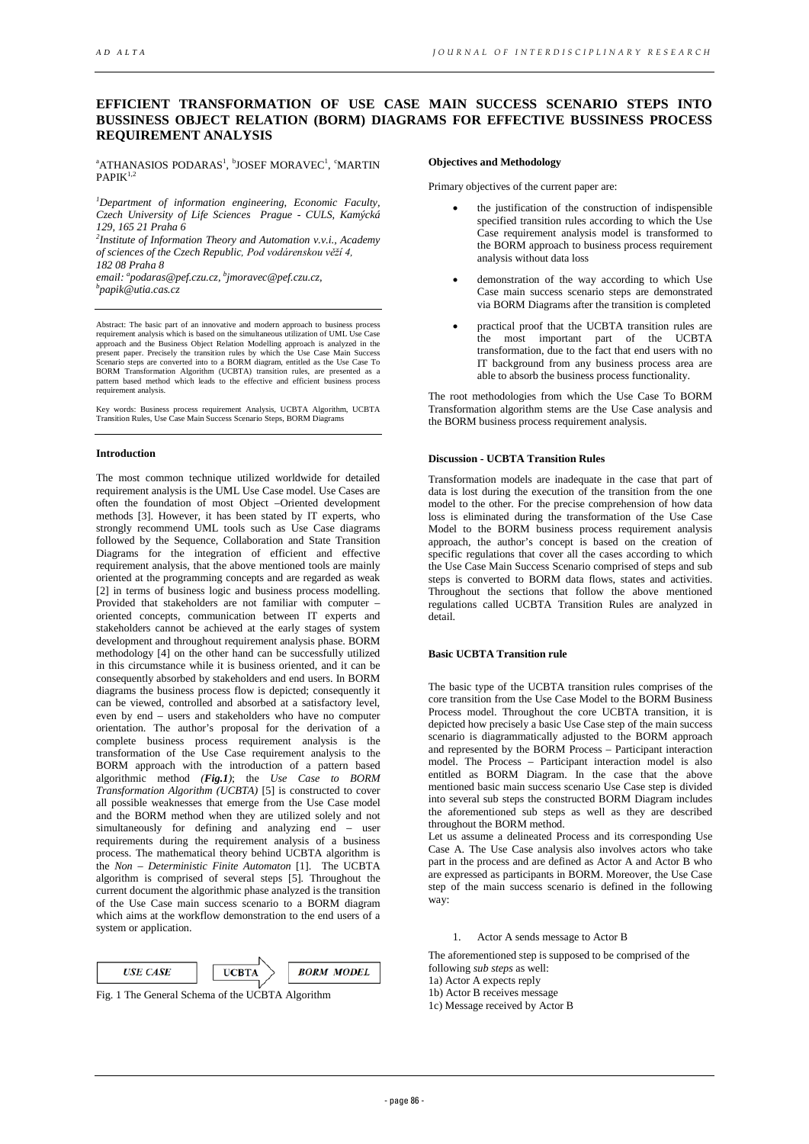# **EFFICIENT TRANSFORMATION OF USE CASE MAIN SUCCESS SCENARIO STEPS INTO BUSSINESS OBJECT RELATION (BORM) DIAGRAMS FOR EFFECTIVE BUSSINESS PROCESS REQUIREMENT ANALYSIS**

 $\rm ^{a}ATHANASIOS$  PODARAS1,  $\rm ^{b}JOSEF$  MORAVEC1,  $\rm ^{c}MARTIN$  $PAPIK<sup>1,2</sup>$ 

*1 Department of information engineering, Economic Faculty, Czech University of Life Sciences Prague - CULS, Kamýcká 129, 165 21 Praha 6 2 Institute of Information Theory and Automation v.v.i., Academy* 

*of sciences of the Czech Republic, Pod vodárenskou věží 4, 182 08 Praha 8*

email: <sup>a</sup>podaras@pef.czu.cz, <sup>b</sup>jmoravec@pef.czu.cz,<br><sup>b</sup>napik@utia.cas.cz *papik@utia.cas.cz* 

Abstract: The basic part of an innovative and modern approach to business process requirement analysis which is based on the simultaneous utilization of UML Use Case approach and the Business Object Relation Modelling approach is analyzed in the present paper. Precisely the transition rules by which the Use Case Main Success Scenario steps are converted into to a BORM diagram, entitled as the Use Case To BORM Transformation Algorithm (UCBTA) transition rules, are presented as a pattern based method which leads to the effective and efficient business process requirement analysis.

Key words: Business process requirement Analysis, UCBTA Algorithm, UCBTA Transition Rules, Use Case Main Success Scenario Steps, BORM Diagrams

#### **Introduction**

The most common technique utilized worldwide for detailed requirement analysis is the UML Use Case model. Use Cases are often the foundation of most Object –Oriented development methods [3]. However, it has been stated by IT experts, who strongly recommend UML tools such as Use Case diagrams followed by the Sequence, Collaboration and State Transition Diagrams for the integration of efficient and effective requirement analysis, that the above mentioned tools are mainly oriented at the programming concepts and are regarded as weak [2] in terms of business logic and business process modelling. Provided that stakeholders are not familiar with computer oriented concepts, communication between IT experts and stakeholders cannot be achieved at the early stages of system development and throughout requirement analysis phase. BORM methodology [4] on the other hand can be successfully utilized in this circumstance while it is business oriented, and it can be consequently absorbed by stakeholders and end users. In BORM diagrams the business process flow is depicted; consequently it can be viewed, controlled and absorbed at a satisfactory level, even by end – users and stakeholders who have no computer orientation. The author's proposal for the derivation of a complete business process requirement analysis is the transformation of the Use Case requirement analysis to the BORM approach with the introduction of a pattern based algorithmic method *(Fig.1)*; the *Use Case to BORM Transformation Algorithm (UCBTA)* [5] is constructed to cover all possible weaknesses that emerge from the Use Case model and the BORM method when they are utilized solely and not simultaneously for defining and analyzing end – user requirements during the requirement analysis of a business process. The mathematical theory behind UCBTA algorithm is the *Non – Deterministic Finite Automaton* [1]. The UCBTA algorithm is comprised of several steps [5]*.* Throughout the current document the algorithmic phase analyzed is the transition of the Use Case main success scenario to a BORM diagram which aims at the workflow demonstration to the end users of a system or application.

| <b>LISE CASE</b> | <b>IICRTA</b> | <b>BORM MODEL</b> |
|------------------|---------------|-------------------|

Fig. 1 The General Schema of the UCBTA Algorithm

#### **Objectives and Methodology**

Primary objectives of the current paper are:

- the justification of the construction of indispensible specified transition rules according to which the Use Case requirement analysis model is transformed to the BORM approach to business process requirement analysis without data loss
- demonstration of the way according to which Use Case main success scenario steps are demonstrated via BORM Diagrams after the transition is completed
- practical proof that the UCBTA transition rules are the most important part of the UCBTA transformation, due to the fact that end users with no IT background from any business process area are able to absorb the business process functionality.

The root methodologies from which the Use Case To BORM Transformation algorithm stems are the Use Case analysis and the BORM business process requirement analysis.

## **Discussion - UCBTA Transition Rules**

Transformation models are inadequate in the case that part of data is lost during the execution of the transition from the one model to the other. For the precise comprehension of how data loss is eliminated during the transformation of the Use Case Model to the BORM business process requirement analysis approach, the author's concept is based on the creation of specific regulations that cover all the cases according to which the Use Case Main Success Scenario comprised of steps and sub steps is converted to BORM data flows, states and activities. Throughout the sections that follow the above mentioned regulations called UCBTA Transition Rules are analyzed in detail.

## **Basic UCBTA Transition rule**

The basic type of the UCBTA transition rules comprises of the core transition from the Use Case Model to the BORM Business Process model. Throughout the core UCBTA transition, it is depicted how precisely a basic Use Case step of the main success scenario is diagrammatically adjusted to the BORM approach and represented by the BORM Process – Participant interaction model. The Process – Participant interaction model is also entitled as BORM Diagram. In the case that the above mentioned basic main success scenario Use Case step is divided into several sub steps the constructed BORM Diagram includes the aforementioned sub steps as well as they are described throughout the BORM method.

Let us assume a delineated Process and its corresponding Use Case A. The Use Case analysis also involves actors who take part in the process and are defined as Actor A and Actor B who are expressed as participants in BORM. Moreover, the Use Case step of the main success scenario is defined in the following way:

1. Actor A sends message to Actor B

The aforementioned step is supposed to be comprised of the following *sub steps* as well:

1a) Actor A expects reply

1b) Actor B receives message

1c) Message received by Actor B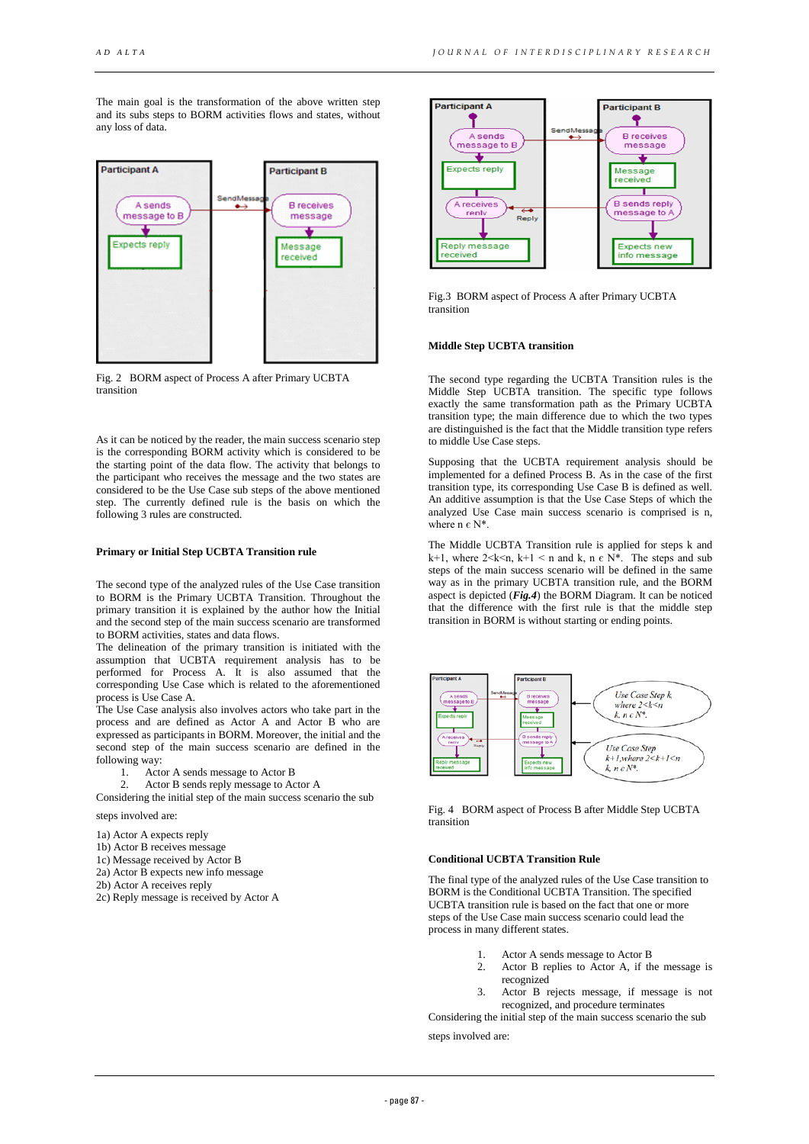The main goal is the transformation of the above written step and its subs steps to BORM activities flows and states, without any loss of data.



Fig. 2 BORM aspect of Process A after Primary UCBTA transition

As it can be noticed by the reader, the main success scenario step is the corresponding BORM activity which is considered to be the starting point of the data flow. The activity that belongs to the participant who receives the message and the two states are considered to be the Use Case sub steps of the above mentioned step. The currently defined rule is the basis on which the following 3 rules are constructed.

## **Primary or Initial Step UCBTA Transition rule**

The second type of the analyzed rules of the Use Case transition to BORM is the Primary UCBTA Transition. Throughout the primary transition it is explained by the author how the Initial and the second step of the main success scenario are transformed to BORM activities, states and data flows.

The delineation of the primary transition is initiated with the assumption that UCBTA requirement analysis has to be performed for Process A. It is also assumed that the corresponding Use Case which is related to the aforementioned process is Use Case A.

The Use Case analysis also involves actors who take part in the process and are defined as Actor A and Actor B who are expressed as participants in BORM. Moreover, the initial and the second step of the main success scenario are defined in the following way:

- 1. Actor A sends message to Actor B<br>2. Actor B sends reply message to Actor
- Actor B sends reply message to Actor A

Considering the initial step of the main success scenario the sub steps involved are:

- 1a) Actor A expects reply
- 1b) Actor B receives message
- 1c) Message received by Actor B
- 2a) Actor B expects new info message
- 2b) Actor A receives reply
- 2c) Reply message is received by Actor A



Fig.3 BORM aspect of Process A after Primary UCBTA transition

## **Middle Step UCBTA transition**

The second type regarding the UCBTA Transition rules is the Middle Step UCBTA transition. The specific type follows exactly the same transformation path as the Primary UCBTA transition type; the main difference due to which the two types are distinguished is the fact that the Middle transition type refers to middle Use Case steps.

Supposing that the UCBTA requirement analysis should be implemented for a defined Process B. As in the case of the first transition type, its corresponding Use Case B is defined as well. An additive assumption is that the Use Case Steps of which the analyzed Use Case main success scenario is comprised is n, where  $n \in N^*$ .

The Middle UCBTA Transition rule is applied for steps k and k+1, where  $2 \le k \le n$ ,  $k+1 \le n$  and k,  $n \in N^*$ . The steps and sub steps of the main success scenario will be defined in the same way as in the primary UCBTA transition rule, and the BORM aspect is depicted (*Fig.4*) the BORM Diagram. It can be noticed that the difference with the first rule is that the middle step transition in BORM is without starting or ending points.



Fig. 4 BORM aspect of Process B after Middle Step UCBTA transition

# **Conditional UCBTA Transition Rule**

The final type of the analyzed rules of the Use Case transition to BORM is the Conditional UCBTA Transition. The specified UCBTA transition rule is based on the fact that one or more steps of the Use Case main success scenario could lead the process in many different states.

- 1. Actor A sends message to Actor B
- 2. Actor B replies to Actor A, if the message is recognized
- 3. Actor B rejects message, if message is not recognized, and procedure terminates

Considering the initial step of the main success scenario the sub

steps involved are: